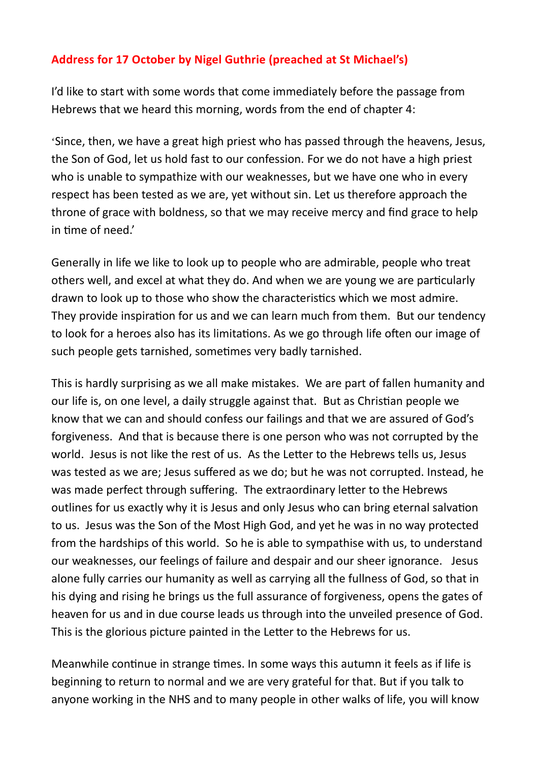## **Address for 17 October by Nigel Guthrie (preached at St Michael's)**

I'd like to start with some words that come immediately before the passage from Hebrews that we heard this morning, words from the end of chapter 4:

'Since, then, we have a great high priest who has passed through the heavens, Jesus, the Son of God, let us hold fast to our confession. For we do not have a high priest who is unable to sympathize with our weaknesses, but we have one who in every respect has been tested as we are, yet without sin. Let us therefore approach the throne of grace with boldness, so that we may receive mercy and find grace to help in time of need.'

Generally in life we like to look up to people who are admirable, people who treat others well, and excel at what they do. And when we are young we are particularly drawn to look up to those who show the characteristics which we most admire. They provide inspiration for us and we can learn much from them. But our tendency to look for a heroes also has its limitations. As we go through life often our image of such people gets tarnished, sometimes very badly tarnished.

This is hardly surprising as we all make mistakes. We are part of fallen humanity and our life is, on one level, a daily struggle against that. But as Christian people we know that we can and should confess our failings and that we are assured of God's forgiveness. And that is because there is one person who was not corrupted by the world. Jesus is not like the rest of us. As the Letter to the Hebrews tells us, Jesus was tested as we are; Jesus suffered as we do; but he was not corrupted. Instead, he was made perfect through suffering. The extraordinary letter to the Hebrews outlines for us exactly why it is Jesus and only Jesus who can bring eternal salvation to us. Jesus was the Son of the Most High God, and yet he was in no way protected from the hardships of this world. So he is able to sympathise with us, to understand our weaknesses, our feelings of failure and despair and our sheer ignorance. Jesus alone fully carries our humanity as well as carrying all the fullness of God, so that in his dying and rising he brings us the full assurance of forgiveness, opens the gates of heaven for us and in due course leads us through into the unveiled presence of God. This is the glorious picture painted in the Letter to the Hebrews for us.

Meanwhile continue in strange times. In some ways this autumn it feels as if life is beginning to return to normal and we are very grateful for that. But if you talk to anyone working in the NHS and to many people in other walks of life, you will know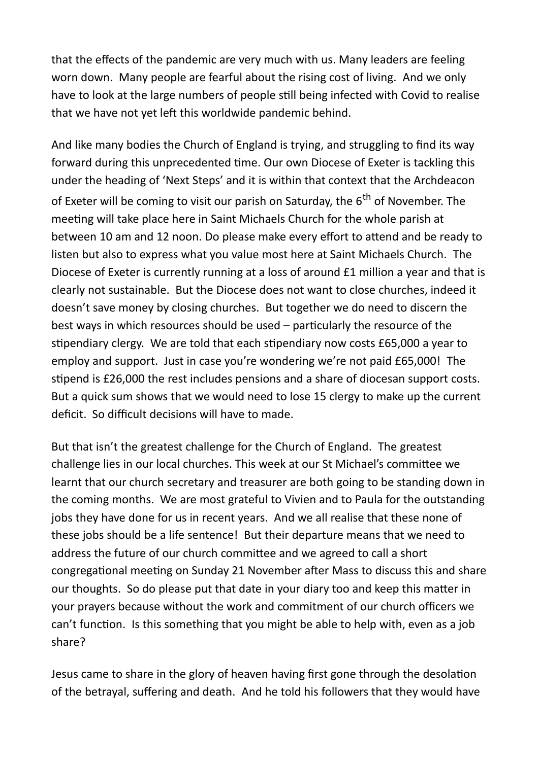that the effects of the pandemic are very much with us. Many leaders are feeling worn down. Many people are fearful about the rising cost of living. And we only have to look at the large numbers of people still being infected with Covid to realise that we have not yet left this worldwide pandemic behind.

And like many bodies the Church of England is trying, and struggling to find its way forward during this unprecedented time. Our own Diocese of Exeter is tackling this under the heading of 'Next Steps' and it is within that context that the Archdeacon of Exeter will be coming to visit our parish on Saturday, the  $6<sup>th</sup>$  of November. The meeting will take place here in Saint Michaels Church for the whole parish at between 10 am and 12 noon. Do please make every effort to attend and be ready to listen but also to express what you value most here at Saint Michaels Church. The Diocese of Exeter is currently running at a loss of around £1 million a year and that is clearly not sustainable. But the Diocese does not want to close churches, indeed it doesn't save money by closing churches. But together we do need to discern the best ways in which resources should be used – particularly the resource of the stipendiary clergy. We are told that each stipendiary now costs £65,000 a year to employ and support. Just in case you're wondering we're not paid £65,000! The stipend is £26,000 the rest includes pensions and a share of diocesan support costs. But a quick sum shows that we would need to lose 15 clergy to make up the current deficit. So difficult decisions will have to made.

But that isn't the greatest challenge for the Church of England. The greatest challenge lies in our local churches. This week at our St Michael's committee we learnt that our church secretary and treasurer are both going to be standing down in the coming months. We are most grateful to Vivien and to Paula for the outstanding jobs they have done for us in recent years. And we all realise that these none of these jobs should be a life sentence! But their departure means that we need to address the future of our church committee and we agreed to call a short congregational meeting on Sunday 21 November after Mass to discuss this and share our thoughts. So do please put that date in your diary too and keep this matter in your prayers because without the work and commitment of our church officers we can't function. Is this something that you might be able to help with, even as a job share?

Jesus came to share in the glory of heaven having first gone through the desolation of the betrayal, suffering and death. And he told his followers that they would have